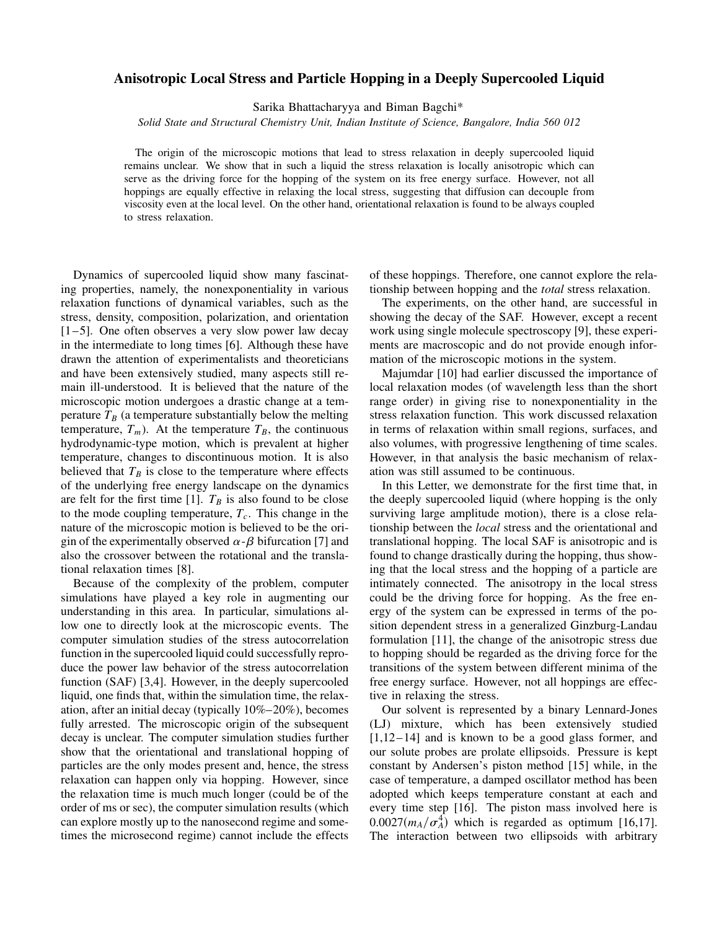## **Anisotropic Local Stress and Particle Hopping in a Deeply Supercooled Liquid**

Sarika Bhattacharyya and Biman Bagchi\*

*Solid State and Structural Chemistry Unit, Indian Institute of Science, Bangalore, India 560 012*

The origin of the microscopic motions that lead to stress relaxation in deeply supercooled liquid remains unclear. We show that in such a liquid the stress relaxation is locally anisotropic which can serve as the driving force for the hopping of the system on its free energy surface. However, not all hoppings are equally effective in relaxing the local stress, suggesting that diffusion can decouple from viscosity even at the local level. On the other hand, orientational relaxation is found to be always coupled to stress relaxation.

Dynamics of supercooled liquid show many fascinating properties, namely, the nonexponentiality in various relaxation functions of dynamical variables, such as the stress, density, composition, polarization, and orientation  $[1-5]$ . One often observes a very slow power law decay in the intermediate to long times [6]. Although these have drawn the attention of experimentalists and theoreticians and have been extensively studied, many aspects still remain ill-understood. It is believed that the nature of the microscopic motion undergoes a drastic change at a temperature  $T_B$  (a temperature substantially below the melting temperature,  $T_m$ ). At the temperature  $T_B$ , the continuous hydrodynamic-type motion, which is prevalent at higher temperature, changes to discontinuous motion. It is also believed that  $T_B$  is close to the temperature where effects of the underlying free energy landscape on the dynamics are felt for the first time [1].  $T_B$  is also found to be close to the mode coupling temperature,  $T_c$ . This change in the nature of the microscopic motion is believed to be the origin of the experimentally observed  $\alpha$ - $\beta$  bifurcation [7] and also the crossover between the rotational and the translational relaxation times [8].

Because of the complexity of the problem, computer simulations have played a key role in augmenting our understanding in this area. In particular, simulations allow one to directly look at the microscopic events. The computer simulation studies of the stress autocorrelation function in the supercooled liquid could successfully reproduce the power law behavior of the stress autocorrelation function (SAF) [3,4]. However, in the deeply supercooled liquid, one finds that, within the simulation time, the relaxation, after an initial decay (typically 10%–20%), becomes fully arrested. The microscopic origin of the subsequent decay is unclear. The computer simulation studies further show that the orientational and translational hopping of particles are the only modes present and, hence, the stress relaxation can happen only via hopping. However, since the relaxation time is much much longer (could be of the order of ms or sec), the computer simulation results (which can explore mostly up to the nanosecond regime and sometimes the microsecond regime) cannot include the effects of these hoppings. Therefore, one cannot explore the relationship between hopping and the *total* stress relaxation.

The experiments, on the other hand, are successful in showing the decay of the SAF. However, except a recent work using single molecule spectroscopy [9], these experiments are macroscopic and do not provide enough information of the microscopic motions in the system.

Majumdar [10] had earlier discussed the importance of local relaxation modes (of wavelength less than the short range order) in giving rise to nonexponentiality in the stress relaxation function. This work discussed relaxation in terms of relaxation within small regions, surfaces, and also volumes, with progressive lengthening of time scales. However, in that analysis the basic mechanism of relaxation was still assumed to be continuous.

In this Letter, we demonstrate for the first time that, in the deeply supercooled liquid (where hopping is the only surviving large amplitude motion), there is a close relationship between the *local* stress and the orientational and translational hopping. The local SAF is anisotropic and is found to change drastically during the hopping, thus showing that the local stress and the hopping of a particle are intimately connected. The anisotropy in the local stress could be the driving force for hopping. As the free energy of the system can be expressed in terms of the position dependent stress in a generalized Ginzburg-Landau formulation [11], the change of the anisotropic stress due to hopping should be regarded as the driving force for the transitions of the system between different minima of the free energy surface. However, not all hoppings are effective in relaxing the stress.

Our solvent is represented by a binary Lennard-Jones (LJ) mixture, which has been extensively studied  $[1,12-14]$  and is known to be a good glass former, and our solute probes are prolate ellipsoids. Pressure is kept constant by Andersen's piston method [15] while, in the case of temperature, a damped oscillator method has been adopted which keeps temperature constant at each and every time step [16]. The piston mass involved here is  $0.0027(m_A/\sigma_A^4)$  which is regarded as optimum [16,17]. The interaction between two ellipsoids with arbitrary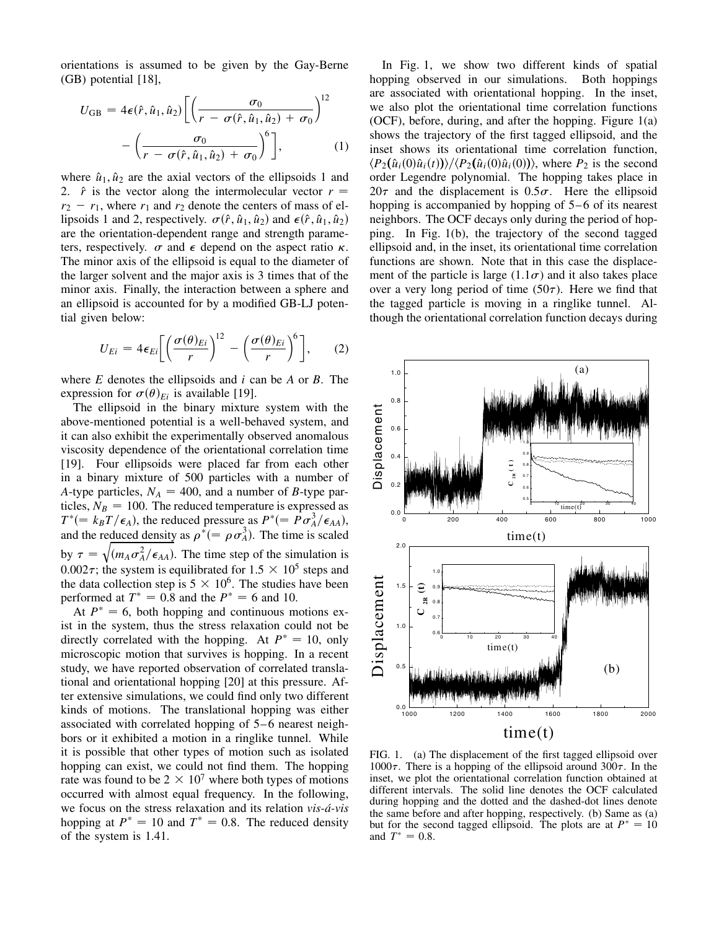orientations is assumed to be given by the Gay-Berne (GB) potential [18],

$$
U_{\text{GB}} = 4\epsilon(\hat{r}, \hat{u}_1, \hat{u}_2) \left[ \left( \frac{\sigma_0}{r - \sigma(\hat{r}, \hat{u}_1, \hat{u}_2) + \sigma_0} \right)^{12} - \left( \frac{\sigma_0}{r - \sigma(\hat{r}, \hat{u}_1, \hat{u}_2) + \sigma_0} \right)^6 \right], \tag{1}
$$

where  $\hat{u}_1, \hat{u}_2$  are the axial vectors of the ellipsoids 1 and 2.  $\hat{r}$  is the vector along the intermolecular vector  $r =$  $r_2 - r_1$ , where  $r_1$  and  $r_2$  denote the centers of mass of ellipsoids 1 and 2, respectively.  $\sigma(\hat{r}, \hat{u}_1, \hat{u}_2)$  and  $\epsilon(\hat{r}, \hat{u}_1, \hat{u}_2)$ are the orientation-dependent range and strength parameters, respectively.  $\sigma$  and  $\epsilon$  depend on the aspect ratio  $\kappa$ . The minor axis of the ellipsoid is equal to the diameter of the larger solvent and the major axis is 3 times that of the minor axis. Finally, the interaction between a sphere and an ellipsoid is accounted for by a modified GB-LJ potential given below:

$$
U_{Ei} = 4\epsilon_{Ei} \left[ \left( \frac{\sigma(\theta)_{Ei}}{r} \right)^{12} - \left( \frac{\sigma(\theta)_{Ei}}{r} \right)^{6} \right],\qquad(2)
$$

where *E* denotes the ellipsoids and *i* can be *A* or *B*. The expression for  $\sigma(\theta)_{E_i}$  is available [19].

The ellipsoid in the binary mixture system with the above-mentioned potential is a well-behaved system, and it can also exhibit the experimentally observed anomalous viscosity dependence of the orientational correlation time [19]. Four ellipsoids were placed far from each other in a binary mixture of 500 particles with a number of *A*-type particles,  $N_A = 400$ , and a number of *B*-type particles,  $N_B = 100$ . The reduced temperature is expressed as  $T^* (= k_B T / \epsilon_A)$ , the reduced pressure as  $P^* (= P \sigma_A^3 / \epsilon_{AA})$ , and the reduced density as  $\rho^* (= \rho \sigma_A^3)$ . The time is scaled by  $\tau = \sqrt{(m_A \sigma_A^2/\epsilon_{AA})}$ . The time step of the simulation is 0.002 $\tau$ ; the system is equilibrated for 1.5  $\times$  10<sup>5</sup> steps and the data collection step is  $5 \times 10^6$ . The studies have been performed at  $T^* = 0.8$  and the  $P^* = 6$  and 10.

At  $P^* = 6$ , both hopping and continuous motions exist in the system, thus the stress relaxation could not be directly correlated with the hopping. At  $P^* = 10$ , only microscopic motion that survives is hopping. In a recent study, we have reported observation of correlated translational and orientational hopping [20] at this pressure. After extensive simulations, we could find only two different kinds of motions. The translational hopping was either associated with correlated hopping of 5–6 nearest neighbors or it exhibited a motion in a ringlike tunnel. While it is possible that other types of motion such as isolated hopping can exist, we could not find them. The hopping rate was found to be  $2 \times 10^7$  where both types of motions occurred with almost equal frequency. In the following, we focus on the stress relaxation and its relation *vis-á-vis* hopping at  $P^* = 10$  and  $T^* = 0.8$ . The reduced density of the system is 1.41.

In Fig. 1, we show two different kinds of spatial hopping observed in our simulations. Both hoppings are associated with orientational hopping. In the inset, we also plot the orientational time correlation functions (OCF), before, during, and after the hopping. Figure 1(a) shows the trajectory of the first tagged ellipsoid, and the inset shows its orientational time correlation function,  $\langle P_2(\hat{u}_i(0)\hat{u}_i(t))\rangle / \langle P_2(\hat{u}_i(0)\hat{u}_i(0))\rangle$ , where  $P_2$  is the second order Legendre polynomial. The hopping takes place in  $20\tau$  and the displacement is  $0.5\sigma$ . Here the ellipsoid hopping is accompanied by hopping of 5–6 of its nearest neighbors. The OCF decays only during the period of hopping. In Fig. 1(b), the trajectory of the second tagged ellipsoid and, in the inset, its orientational time correlation functions are shown. Note that in this case the displacement of the particle is large  $(1.1\sigma)$  and it also takes place over a very long period of time  $(50\tau)$ . Here we find that the tagged particle is moving in a ringlike tunnel. Although the orientational correlation function decays during



FIG. 1. (a) The displacement of the first tagged ellipsoid over 1000 $\tau$ . There is a hopping of the ellipsoid around 300 $\tau$ . In the inset, we plot the orientational correlation function obtained at different intervals. The solid line denotes the OCF calculated during hopping and the dotted and the dashed-dot lines denote the same before and after hopping, respectively. (b) Same as (a) but for the second tagged ellipsoid. The plots are at  $P^* = 10$ and  $T^* = 0.8$ .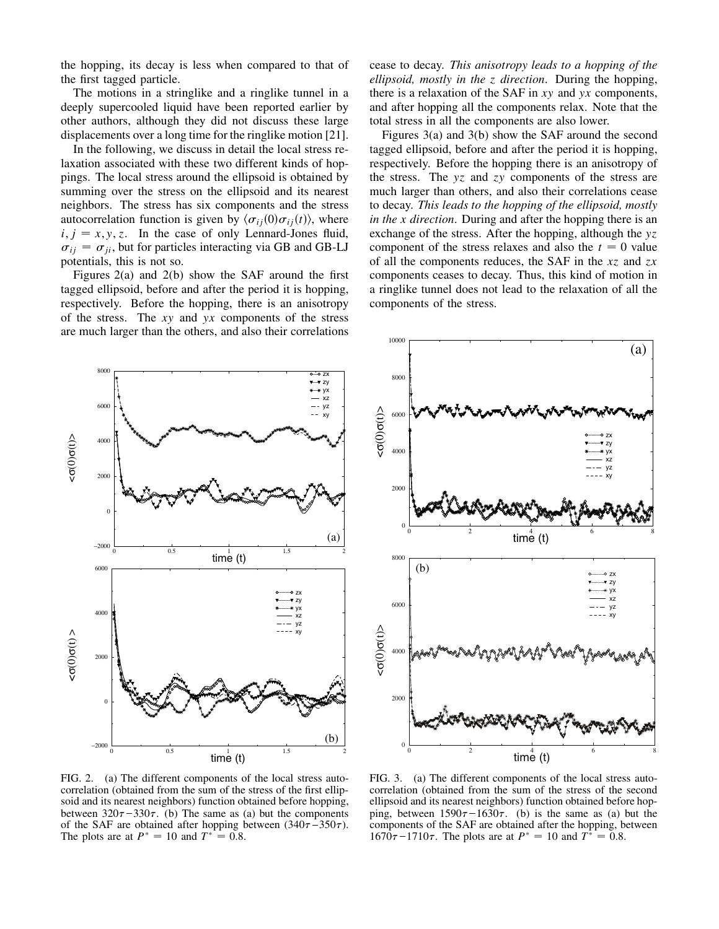the hopping, its decay is less when compared to that of the first tagged particle.

The motions in a stringlike and a ringlike tunnel in a deeply supercooled liquid have been reported earlier by other authors, although they did not discuss these large displacements over a long time for the ringlike motion [21].

In the following, we discuss in detail the local stress relaxation associated with these two different kinds of hoppings. The local stress around the ellipsoid is obtained by summing over the stress on the ellipsoid and its nearest neighbors. The stress has six components and the stress autocorrelation function is given by  $\langle \sigma_{ij} (0) \sigma_{ij} (t) \rangle$ , where  $i, j = x, y, z$ . In the case of only Lennard-Jones fluid,  $\sigma_{ij} = \sigma_{ji}$ , but for particles interacting via GB and GB-LJ potentials, this is not so.

Figures 2(a) and 2(b) show the SAF around the first tagged ellipsoid, before and after the period it is hopping, respectively. Before the hopping, there is an anisotropy of the stress. The *xy* and *yx* components of the stress are much larger than the others, and also their correlations cease to decay. *This anisotropy leads to a hopping of the ellipsoid, mostly in the z direction*. During the hopping, there is a relaxation of the SAF in *xy* and *yx* components, and after hopping all the components relax. Note that the total stress in all the components are also lower.

Figures 3(a) and 3(b) show the SAF around the second tagged ellipsoid, before and after the period it is hopping, respectively. Before the hopping there is an anisotropy of the stress. The *yz* and *zy* components of the stress are much larger than others, and also their correlations cease to decay. *This leads to the hopping of the ellipsoid, mostly in the x direction*. During and after the hopping there is an exchange of the stress. After the hopping, although the *yz* component of the stress relaxes and also the  $t = 0$  value of all the components reduces, the SAF in the *xz* and *zx* components ceases to decay. Thus, this kind of motion in a ringlike tunnel does not lead to the relaxation of all the components of the stress.



FIG. 2. (a) The different components of the local stress autocorrelation (obtained from the sum of the stress of the first ellipsoid and its nearest neighbors) function obtained before hopping, between  $320\tau - 330\tau$ . (b) The same as (a) but the components of the SAF are obtained after hopping between  $(340\tau - 350\tau)$ . The plots are at  $P^* = 10$  and  $T^* = 0.8$ .



FIG. 3. (a) The different components of the local stress autocorrelation (obtained from the sum of the stress of the second ellipsoid and its nearest neighbors) function obtained before hopping, between  $1590\tau - 1630\tau$ . (b) is the same as (a) but the components of the SAF are obtained after the hopping, between  $1670\tau - 1710\tau$ . The plots are at  $P^* = 10$  and  $T^* = 0.8$ .